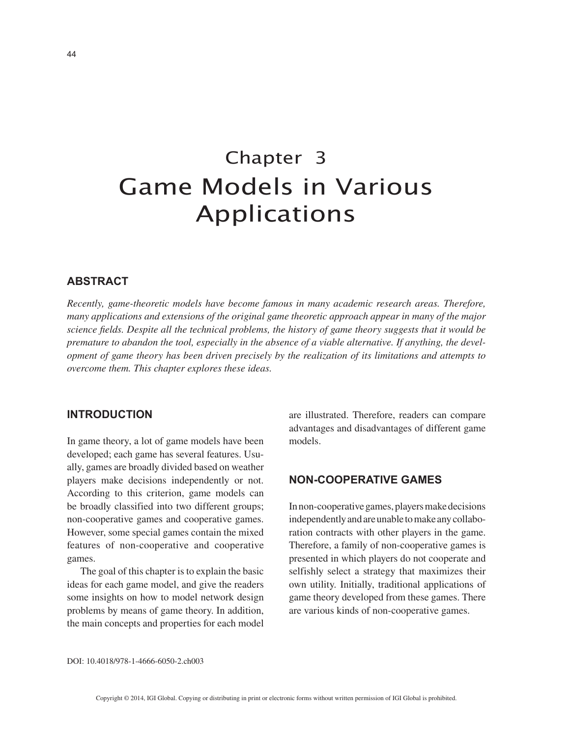# Chapter 3 Game Models in Various Applications

## **ABSTRACT**

*Recently, game-theoretic models have become famous in many academic research areas. Therefore, many applications and extensions of the original game theoretic approach appear in many of the major science fields. Despite all the technical problems, the history of game theory suggests that it would be premature to abandon the tool, especially in the absence of a viable alternative. If anything, the development of game theory has been driven precisely by the realization of its limitations and attempts to overcome them. This chapter explores these ideas.*

# **INTRODUCTION**

In game theory, a lot of game models have been developed; each game has several features. Usually, games are broadly divided based on weather players make decisions independently or not. According to this criterion, game models can be broadly classified into two different groups; non-cooperative games and cooperative games. However, some special games contain the mixed features of non-cooperative and cooperative games.

The goal of this chapter is to explain the basic ideas for each game model, and give the readers some insights on how to model network design problems by means of game theory. In addition, the main concepts and properties for each model are illustrated. Therefore, readers can compare advantages and disadvantages of different game models.

## **NON-COOPERATIVE GAMES**

In non-cooperative games, players make decisions independently and are unable to make any collaboration contracts with other players in the game. Therefore, a family of non-cooperative games is presented in which players do not cooperate and selfishly select a strategy that maximizes their own utility. Initially, traditional applications of game theory developed from these games. There are various kinds of non-cooperative games.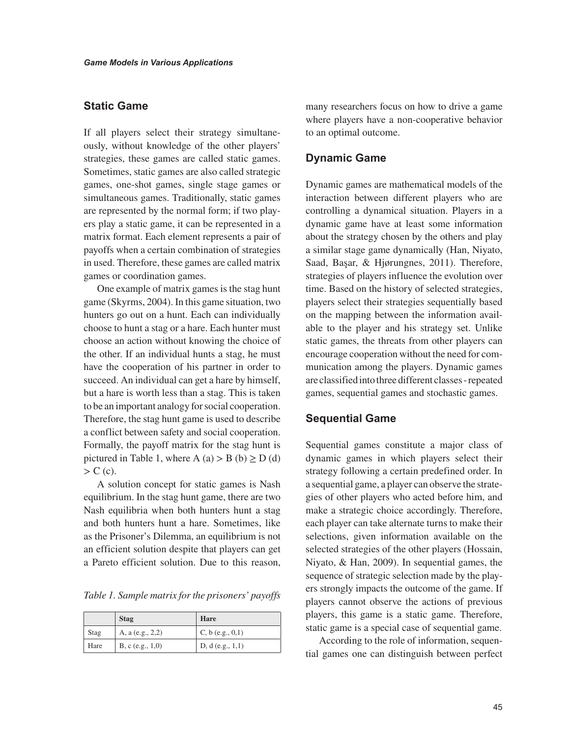### **Static Game**

If all players select their strategy simultaneously, without knowledge of the other players' strategies, these games are called static games. Sometimes, static games are also called strategic games, one-shot games, single stage games or simultaneous games. Traditionally, static games are represented by the normal form; if two players play a static game, it can be represented in a matrix format. Each element represents a pair of payoffs when a certain combination of strategies in used. Therefore, these games are called matrix games or coordination games.

One example of matrix games is the stag hunt game (Skyrms, 2004). In this game situation, two hunters go out on a hunt. Each can individually choose to hunt a stag or a hare. Each hunter must choose an action without knowing the choice of the other. If an individual hunts a stag, he must have the cooperation of his partner in order to succeed. An individual can get a hare by himself, but a hare is worth less than a stag. This is taken to be an important analogy for social cooperation. Therefore, the stag hunt game is used to describe a conflict between safety and social cooperation. Formally, the payoff matrix for the stag hunt is pictured in Table 1, where A  $(a) > B(b) > D(d)$  $> C$  (c).

A solution concept for static games is Nash equilibrium. In the stag hunt game, there are two Nash equilibria when both hunters hunt a stag and both hunters hunt a hare. Sometimes, like as the Prisoner's Dilemma, an equilibrium is not an efficient solution despite that players can get a Pareto efficient solution. Due to this reason,

*Table 1. Sample matrix for the prisoners' payoffs* 

|      | <b>Stag</b>        | Hare                  |
|------|--------------------|-----------------------|
| Stag | A, a (e.g., 2,2)   | C, $b$ (e.g., $0,1$ ) |
| Hare | B, c $(e.g., 1,0)$ | D, $d(e.g., 1,1)$     |

many researchers focus on how to drive a game where players have a non-cooperative behavior to an optimal outcome.

#### **Dynamic Game**

Dynamic games are mathematical models of the interaction between different players who are controlling a dynamical situation. Players in a dynamic game have at least some information about the strategy chosen by the others and play a similar stage game dynamically (Han, Niyato, Saad, Başar, & Hjørungnes, 2011). Therefore, strategies of players influence the evolution over time. Based on the history of selected strategies, players select their strategies sequentially based on the mapping between the information available to the player and his strategy set. Unlike static games, the threats from other players can encourage cooperation without the need for communication among the players. Dynamic games are classified into three different classes - repeated games, sequential games and stochastic games.

#### **Sequential Game**

Sequential games constitute a major class of dynamic games in which players select their strategy following a certain predefined order. In a sequential game, a player can observe the strategies of other players who acted before him, and make a strategic choice accordingly. Therefore, each player can take alternate turns to make their selections, given information available on the selected strategies of the other players (Hossain, Niyato, & Han, 2009). In sequential games, the sequence of strategic selection made by the players strongly impacts the outcome of the game. If players cannot observe the actions of previous players, this game is a static game. Therefore, static game is a special case of sequential game.

According to the role of information, sequential games one can distinguish between perfect